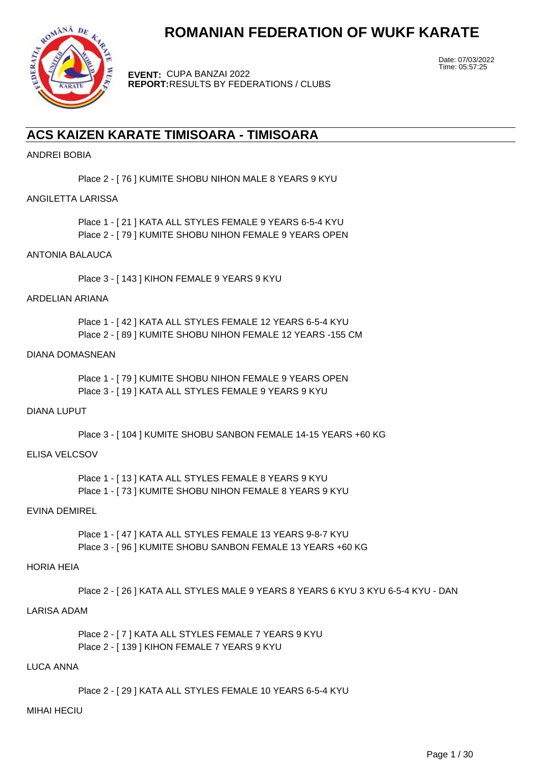

**EVENT:** CUPA BANZAI 2022 **REPORT:** RESULTS BY FEDERATIONS / CLUBS Date: 07/03/2022 Time: 05:57:25

# **ACS KAIZEN KARATE TIMISOARA - TIMISOARA**

# ANDREI BOBIA

Place 2 - [ 76 ] KUMITE SHOBU NIHON MALE 8 YEARS 9 KYU

# ANGILETTA LARISSA

Place 1 - [ 21 ] KATA ALL STYLES FEMALE 9 YEARS 6-5-4 KYU Place 2 - [ 79 ] KUMITE SHOBU NIHON FEMALE 9 YEARS OPEN

# ANTONIA BALAUCA

Place 3 - [ 143 ] KIHON FEMALE 9 YEARS 9 KYU

# ARDELIAN ARIANA

Place 1 - [ 42 ] KATA ALL STYLES FEMALE 12 YEARS 6-5-4 KYU Place 2 - [ 89 ] KUMITE SHOBU NIHON FEMALE 12 YEARS -155 CM

### DIANA DOMASNEAN

Place 1 - [ 79 ] KUMITE SHOBU NIHON FEMALE 9 YEARS OPEN Place 3 - [ 19 ] KATA ALL STYLES FEMALE 9 YEARS 9 KYU

# DIANA LUPUT

Place 3 - [ 104 ] KUMITE SHOBU SANBON FEMALE 14-15 YEARS +60 KG

# ELISA VELCSOV

Place 1 - [ 13 ] KATA ALL STYLES FEMALE 8 YEARS 9 KYU Place 1 - [ 73 ] KUMITE SHOBU NIHON FEMALE 8 YEARS 9 KYU

# EVINA DEMIREL

Place 1 - [ 47 ] KATA ALL STYLES FEMALE 13 YEARS 9-8-7 KYU Place 3 - [ 96 ] KUMITE SHOBU SANBON FEMALE 13 YEARS +60 KG

# HORIA HEIA

Place 2 - [ 26 ] KATA ALL STYLES MALE 9 YEARS 8 YEARS 6 KYU 3 KYU 6-5-4 KYU - DAN

# LARISA ADAM

Place 2 - [ 7 ] KATA ALL STYLES FEMALE 7 YEARS 9 KYU Place 2 - [ 139 ] KIHON FEMALE 7 YEARS 9 KYU

#### LUCA ANNA

Place 2 - [ 29 ] KATA ALL STYLES FEMALE 10 YEARS 6-5-4 KYU

#### MIHAI HECIU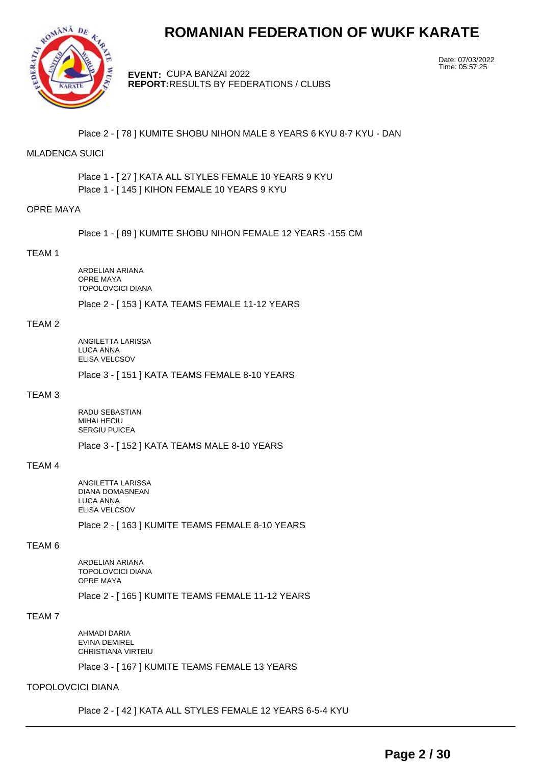

**EVENT:** CUPA BANZAI 2022 **REPORT:** RESULTS BY FEDERATIONS / CLUBS Date: 07/03/2022 Time: 05:57:25

Place 2 - [ 78 ] KUMITE SHOBU NIHON MALE 8 YEARS 6 KYU 8-7 KYU - DAN

# MLADENCA SUICI

Place 1 - [ 27 ] KATA ALL STYLES FEMALE 10 YEARS 9 KYU Place 1 - [ 145 ] KIHON FEMALE 10 YEARS 9 KYU

# OPRE MAYA

Place 1 - [ 89 ] KUMITE SHOBU NIHON FEMALE 12 YEARS -155 CM

#### TEAM 1

ARDELIAN ARIANA OPRE MAYA TOPOLOVCICI DIANA

Place 2 - [ 153 ] KATA TEAMS FEMALE 11-12 YEARS

### TEAM 2

ANGILETTA LARISSA LUCA ANNA ELISA VELCSOV

Place 3 - [ 151 ] KATA TEAMS FEMALE 8-10 YEARS

#### TEAM 3

RADU SEBASTIAN MIHAI HECIU SERGIU PUICEA

Place 3 - [ 152 ] KATA TEAMS MALE 8-10 YEARS

# TEAM 4

ANGILETTA LARISSA DIANA DOMASNEAN LUCA ANNA ELISA VELCSOV

Place 2 - [ 163 ] KUMITE TEAMS FEMALE 8-10 YEARS

#### TEAM 6

ARDELIAN ARIANA TOPOLOVCICI DIANA OPRE MAYA Place 2 - [ 165 ] KUMITE TEAMS FEMALE 11-12 YEARS

TEAM 7

AHMADI DARIA EVINA DEMIREL CHRISTIANA VIRTEIU

Place 3 - [ 167 ] KUMITE TEAMS FEMALE 13 YEARS

### TOPOLOVCICI DIANA

Place 2 - [ 42 ] KATA ALL STYLES FEMALE 12 YEARS 6-5-4 KYU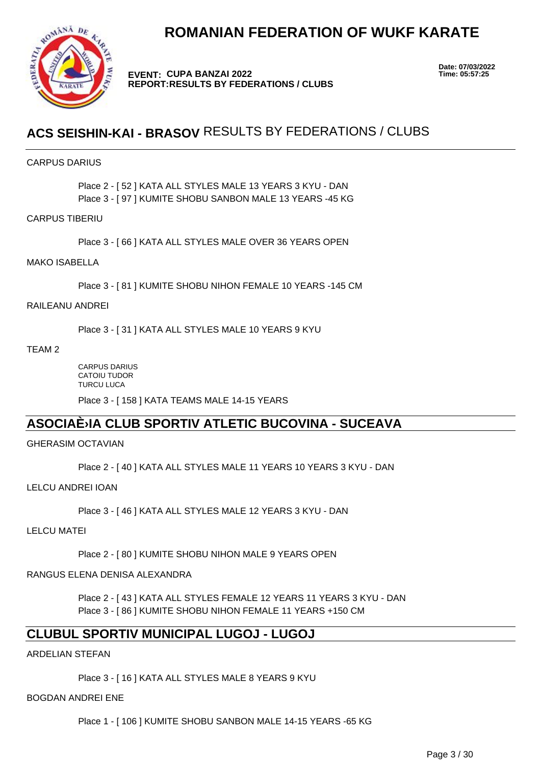

**EVENT: CUPA BANZAI 2022 REPORT: RESULTS BY FEDERATIONS / CLUBS** **Date: 07/03/2022**

# **ACS SEISHIN-KAI - BRASOV** RESULTS BY FEDERATIONS / CLUBS

# CARPUS DARIUS

Place 2 - [ 52 ] KATA ALL STYLES MALE 13 YEARS 3 KYU - DAN Place 3 - [ 97 ] KUMITE SHOBU SANBON MALE 13 YEARS -45 KG

# CARPUS TIBERIU

Place 3 - [ 66 ] KATA ALL STYLES MALE OVER 36 YEARS OPEN

# MAKO ISABELLA

Place 3 - [ 81 ] KUMITE SHOBU NIHON FEMALE 10 YEARS -145 CM

#### RAILEANU ANDREI

Place 3 - [ 31 ] KATA ALL STYLES MALE 10 YEARS 9 KYU

TEAM 2

CARPUS DARIUS CATOIU TUDOR **TURCU LUCA** 

Place 3 - [ 158 ] KATA TEAMS MALE 14-15 YEARS

# **ASOCIAțIA CLUB SPORTIV ATLETIC BUCOVINA - SUCEAVA**

# GHERASIM OCTAVIAN

Place 2 - [ 40 ] KATA ALL STYLES MALE 11 YEARS 10 YEARS 3 KYU - DAN

LELCU ANDREI IOAN

Place 3 - [ 46 ] KATA ALL STYLES MALE 12 YEARS 3 KYU - DAN

# LELCU MATEI

Place 2 - [ 80 ] KUMITE SHOBU NIHON MALE 9 YEARS OPEN

# RANGUS ELENA DENISA ALEXANDRA

Place 2 - [ 43 ] KATA ALL STYLES FEMALE 12 YEARS 11 YEARS 3 KYU - DAN Place 3 - [ 86 ] KUMITE SHOBU NIHON FEMALE 11 YEARS +150 CM

# **CLUBUL SPORTIV MUNICIPAL LUGOJ - LUGOJ**

ARDELIAN STEFAN

Place 3 - [ 16 ] KATA ALL STYLES MALE 8 YEARS 9 KYU

# BOGDAN ANDREI ENE

Place 1 - [ 106 ] KUMITE SHOBU SANBON MALE 14-15 YEARS -65 KG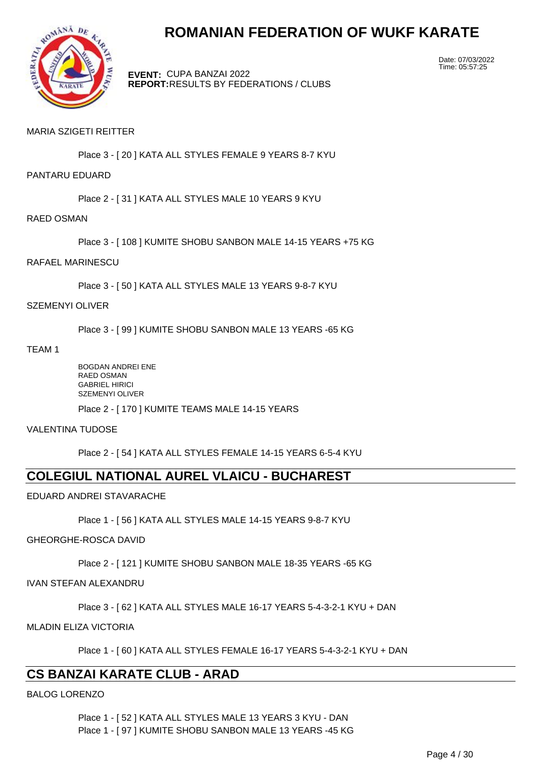

**EVENT:** CUPA BANZAI 2022 **REPORT:** RESULTS BY FEDERATIONS / CLUBS Date: 07/03/2022 Time: 05:57:25

# MARIA SZIGETI REITTER

Place 3 - [ 20 ] KATA ALL STYLES FEMALE 9 YEARS 8-7 KYU

### PANTARU EDUARD

Place 2 - [ 31 ] KATA ALL STYLES MALE 10 YEARS 9 KYU

RAED OSMAN

Place 3 - [ 108 ] KUMITE SHOBU SANBON MALE 14-15 YEARS +75 KG

#### RAFAEL MARINESCU

Place 3 - [ 50 ] KATA ALL STYLES MALE 13 YEARS 9-8-7 KYU

#### SZEMENYI OLIVER

Place 3 - [ 99 ] KUMITE SHOBU SANBON MALE 13 YEARS -65 KG

TEAM 1

BOGDAN ANDREI ENE RAED OSMAN GABRIEL HIRICI SZEMENYI OLIVER Place 2 - [ 170 ] KUMITE TEAMS MALE 14-15 YEARS

#### VALENTINA TUDOSE

Place 2 - [ 54 ] KATA ALL STYLES FEMALE 14-15 YEARS 6-5-4 KYU

# **COLEGIUL NATIONAL AUREL VLAICU - BUCHAREST**

# EDUARD ANDREI STAVARACHE

Place 1 - [ 56 ] KATA ALL STYLES MALE 14-15 YEARS 9-8-7 KYU

# GHEORGHE-ROSCA DAVID

Place 2 - [ 121 ] KUMITE SHOBU SANBON MALE 18-35 YEARS -65 KG

# IVAN STEFAN ALEXANDRU

Place 3 - [ 62 ] KATA ALL STYLES MALE 16-17 YEARS 5-4-3-2-1 KYU + DAN

MLADIN ELIZA VICTORIA

Place 1 - [ 60 ] KATA ALL STYLES FEMALE 16-17 YEARS 5-4-3-2-1 KYU + DAN

# **CS BANZAI KARATE CLUB - ARAD**

BALOG LORENZO

Place 1 - [ 52 ] KATA ALL STYLES MALE 13 YEARS 3 KYU - DAN Place 1 - [ 97 ] KUMITE SHOBU SANBON MALE 13 YEARS -45 KG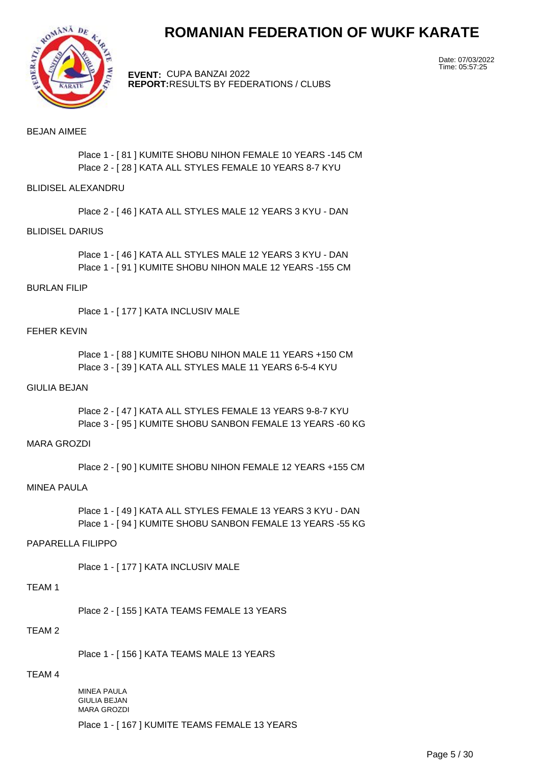

**EVENT:** CUPA BANZAI 2022 **REPORT:** RESULTS BY FEDERATIONS / CLUBS Date: 07/03/2022 Time: 05:57:25

### BEJAN AIMEE

Place 1 - [ 81 ] KUMITE SHOBU NIHON FEMALE 10 YEARS -145 CM Place 2 - [ 28 ] KATA ALL STYLES FEMALE 10 YEARS 8-7 KYU

#### BLIDISEL ALEXANDRU

Place 2 - [ 46 ] KATA ALL STYLES MALE 12 YEARS 3 KYU - DAN

#### BLIDISEL DARIUS

Place 1 - [ 46 ] KATA ALL STYLES MALE 12 YEARS 3 KYU - DAN Place 1 - [ 91 ] KUMITE SHOBU NIHON MALE 12 YEARS -155 CM

#### BURLAN FILIP

Place 1 - [ 177 ] KATA INCLUSIV MALE

#### FEHER KEVIN

Place 1 - [ 88 ] KUMITE SHOBU NIHON MALE 11 YEARS +150 CM Place 3 - [ 39 ] KATA ALL STYLES MALE 11 YEARS 6-5-4 KYU

### GIULIA BEJAN

Place 2 - [ 47 ] KATA ALL STYLES FEMALE 13 YEARS 9-8-7 KYU Place 3 - [ 95 ] KUMITE SHOBU SANBON FEMALE 13 YEARS -60 KG

#### MARA GROZDI

Place 2 - [ 90 ] KUMITE SHOBU NIHON FEMALE 12 YEARS +155 CM

#### MINEA PAULA

Place 1 - [ 49 ] KATA ALL STYLES FEMALE 13 YEARS 3 KYU - DAN Place 1 - [ 94 ] KUMITE SHOBU SANBON FEMALE 13 YEARS -55 KG

# PAPARELLA FILIPPO

Place 1 - [ 177 ] KATA INCLUSIV MALE

# TEAM 1

Place 2 - [ 155 ] KATA TEAMS FEMALE 13 YEARS

# TEAM 2

Place 1 - [ 156 ] KATA TEAMS MALE 13 YEARS

### TEAM 4

MINEA PAULA GIULIA BEJAN MARA GROZDI

Place 1 - [ 167 ] KUMITE TEAMS FEMALE 13 YEARS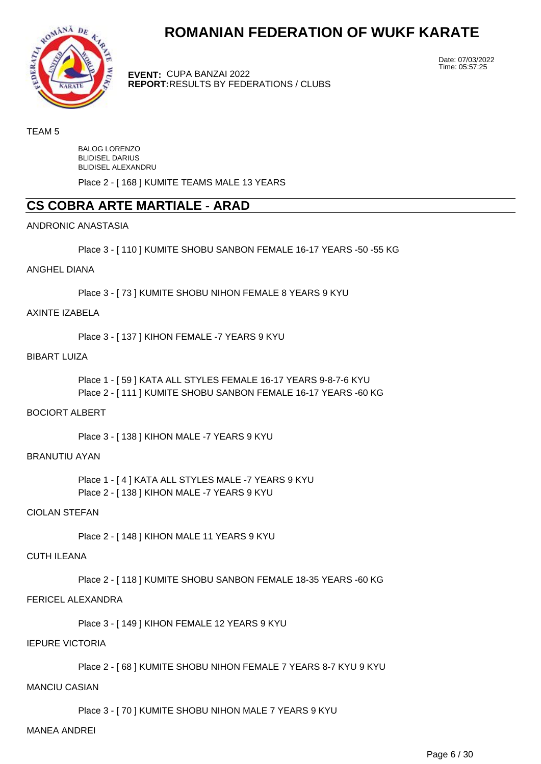

**EVENT:** CUPA BANZAI 2022 **REPORT:** RESULTS BY FEDERATIONS / CLUBS Date: 07/03/2022 Time: 05:57:25

### TEAM 5

BALOG LORENZO BLIDISEL DARIUS BLIDISEL ALEXANDRU

Place 2 - [ 168 ] KUMITE TEAMS MALE 13 YEARS

# **CS COBRA ARTE MARTIALE - ARAD**

#### ANDRONIC ANASTASIA

Place 3 - [ 110 ] KUMITE SHOBU SANBON FEMALE 16-17 YEARS -50 -55 KG

#### ANGHEL DIANA

Place 3 - [ 73 ] KUMITE SHOBU NIHON FEMALE 8 YEARS 9 KYU

#### AXINTE IZABELA

Place 3 - [ 137 ] KIHON FEMALE -7 YEARS 9 KYU

#### BIBART LUIZA

Place 1 - [ 59 ] KATA ALL STYLES FEMALE 16-17 YEARS 9-8-7-6 KYU Place 2 - [ 111 ] KUMITE SHOBU SANBON FEMALE 16-17 YEARS -60 KG

# BOCIORT ALBERT

Place 3 - [ 138 ] KIHON MALE -7 YEARS 9 KYU

#### BRANUTIU AYAN

Place 1 - [4] KATA ALL STYLES MALE -7 YEARS 9 KYU Place 2 - [ 138 ] KIHON MALE -7 YEARS 9 KYU

### CIOLAN STEFAN

Place 2 - [ 148 ] KIHON MALE 11 YEARS 9 KYU

## CUTH ILEANA

Place 2 - [ 118 ] KUMITE SHOBU SANBON FEMALE 18-35 YEARS -60 KG

# FERICEL ALEXANDRA

Place 3 - [ 149 ] KIHON FEMALE 12 YEARS 9 KYU

# IEPURE VICTORIA

Place 2 - [ 68 ] KUMITE SHOBU NIHON FEMALE 7 YEARS 8-7 KYU 9 KYU

# MANCIU CASIAN

Place 3 - [ 70 ] KUMITE SHOBU NIHON MALE 7 YEARS 9 KYU

#### MANEA ANDREI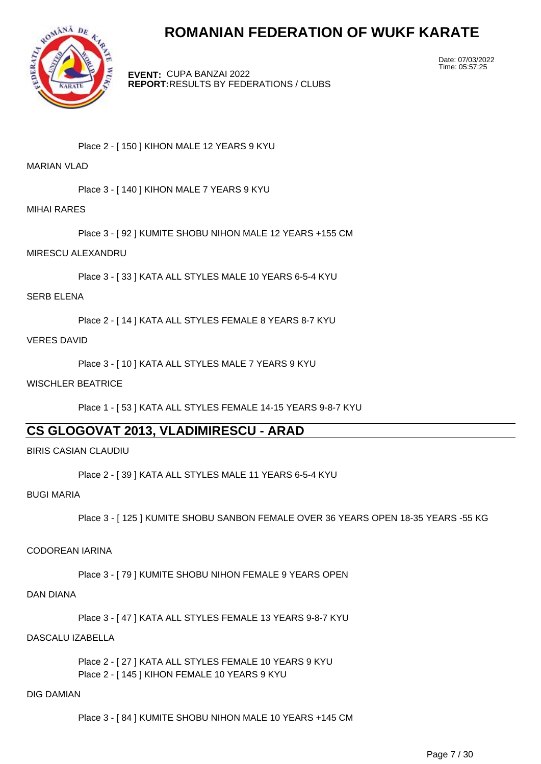

**EVENT:** CUPA BANZAI 2022 **REPORT:** RESULTS BY FEDERATIONS / CLUBS Date: 07/03/2022 Time: 05:57:25

Place 2 - [ 150 ] KIHON MALE 12 YEARS 9 KYU

# MARIAN VI AD

Place 3 - [ 140 ] KIHON MALE 7 YEARS 9 KYU

MIHAI RARES

Place 3 - [ 92 ] KUMITE SHOBU NIHON MALE 12 YEARS +155 CM

MIRESCU ALEXANDRU

Place 3 - [ 33 ] KATA ALL STYLES MALE 10 YEARS 6-5-4 KYU

SERB ELENA

Place 2 - [ 14 ] KATA ALL STYLES FEMALE 8 YEARS 8-7 KYU

VERES DAVID

Place 3 - [ 10 ] KATA ALL STYLES MALE 7 YEARS 9 KYU

WISCHLER BEATRICE

Place 1 - [ 53 ] KATA ALL STYLES FEMALE 14-15 YEARS 9-8-7 KYU

# **CS GLOGOVAT 2013, VLADIMIRESCU - ARAD**

BIRIS CASIAN CLAUDIU

```
Place 2 - [ 39 ] KATA ALL STYLES MALE 11 YEARS 6-5-4 KYU
```
BUGI MARIA

Place 3 - [ 125 ] KUMITE SHOBU SANBON FEMALE OVER 36 YEARS OPEN 18-35 YEARS -55 KG

CODOREAN IARINA

Place 3 - [ 79 ] KUMITE SHOBU NIHON FEMALE 9 YEARS OPEN

DAN DIANA

Place 3 - [ 47 ] KATA ALL STYLES FEMALE 13 YEARS 9-8-7 KYU

DASCALU IZABELLA

Place 2 - [ 27 ] KATA ALL STYLES FEMALE 10 YEARS 9 KYU Place 2 - [ 145 ] KIHON FEMALE 10 YEARS 9 KYU

# DIG DAMIAN

Place 3 - [ 84 ] KUMITE SHOBU NIHON MALE 10 YEARS +145 CM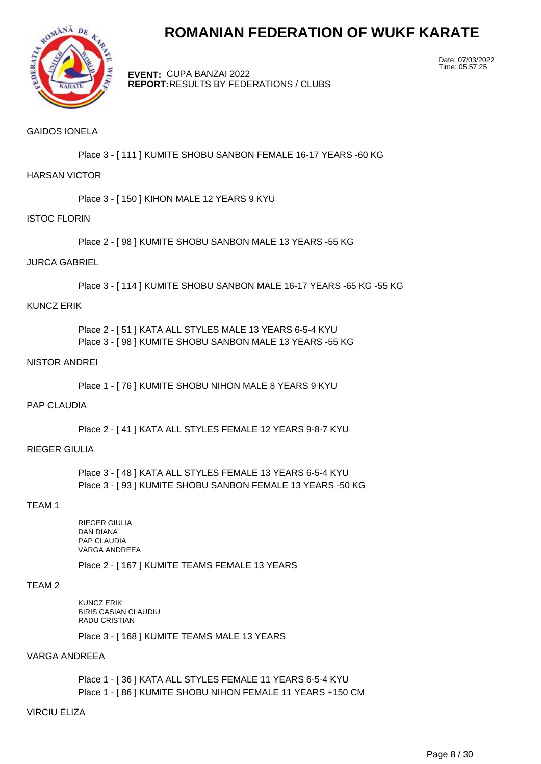

**EVENT:** CUPA BANZAI 2022 **REPORT:** RESULTS BY FEDERATIONS / CLUBS Date: 07/03/2022 Time: 05:57:25

# GAIDOS IONELA

Place 3 - [ 111 ] KUMITE SHOBU SANBON FEMALE 16-17 YEARS -60 KG

### HARSAN VICTOR

Place 3 - [ 150 ] KIHON MALE 12 YEARS 9 KYU

#### ISTOC FLORIN

Place 2 - [ 98 ] KUMITE SHOBU SANBON MALE 13 YEARS -55 KG

#### JURCA GABRIEL

Place 3 - [ 114 ] KUMITE SHOBU SANBON MALE 16-17 YEARS -65 KG -55 KG

#### KUNCZ ERIK

Place 2 - [ 51 ] KATA ALL STYLES MALE 13 YEARS 6-5-4 KYU Place 3 - [ 98 ] KUMITE SHOBU SANBON MALE 13 YEARS -55 KG

#### NISTOR ANDREI

Place 1 - [ 76 ] KUMITE SHOBU NIHON MALE 8 YEARS 9 KYU

# PAP CLAUDIA

Place 2 - [ 41 ] KATA ALL STYLES FEMALE 12 YEARS 9-8-7 KYU

# RIEGER GIULIA

Place 3 - [ 48 ] KATA ALL STYLES FEMALE 13 YEARS 6-5-4 KYU Place 3 - [ 93 ] KUMITE SHOBU SANBON FEMALE 13 YEARS -50 KG

### TEAM 1

RIEGER GIULIA DAN DIANA PAP CLAUDIA VARGA ANDREEA

Place 2 - [ 167 ] KUMITE TEAMS FEMALE 13 YEARS

### TEAM 2

KUNCZ ERIK BIRIS CASIAN CLAUDIU RADU CRISTIAN

Place 3 - [ 168 ] KUMITE TEAMS MALE 13 YEARS

# VARGA ANDREEA

Place 1 - [ 36 ] KATA ALL STYLES FEMALE 11 YEARS 6-5-4 KYU Place 1 - [ 86 ] KUMITE SHOBU NIHON FEMALE 11 YEARS +150 CM

### VIRCIU ELIZA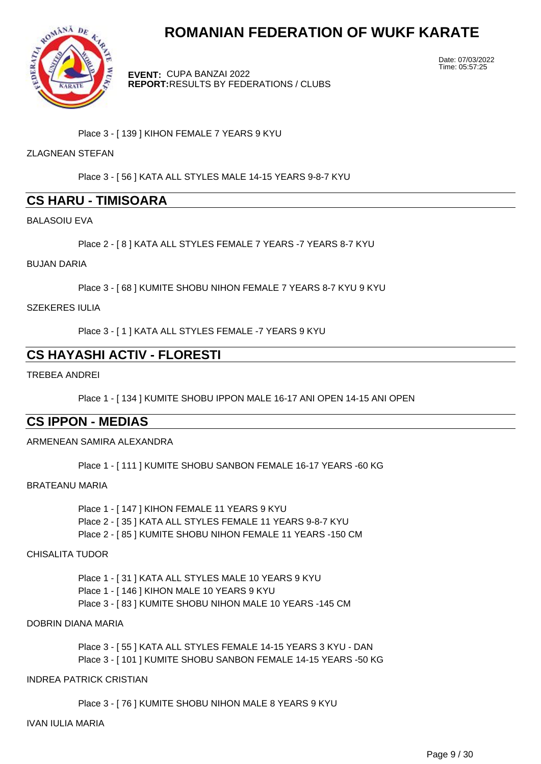

**EVENT:** CUPA BANZAI 2022 **REPORT:** RESULTS BY FEDERATIONS / CLUBS Date: 07/03/2022 Time: 05:57:25

Place 3 - [ 139 ] KIHON FEMALE 7 YEARS 9 KYU

# ZLAGNEAN STEFAN

Place 3 - [ 56 ] KATA ALL STYLES MALE 14-15 YEARS 9-8-7 KYU

# **CS HARU - TIMISOARA**

BALASOIU EVA

Place 2 - [ 8 ] KATA ALL STYLES FEMALE 7 YEARS -7 YEARS 8-7 KYU

#### BUJAN DARIA

Place 3 - [ 68 ] KUMITE SHOBU NIHON FEMALE 7 YEARS 8-7 KYU 9 KYU

SZEKERES IULIA

Place 3 - [ 1 ] KATA ALL STYLES FEMALE -7 YEARS 9 KYU

# **CS HAYASHI ACTIV - FLORESTI**

TREBEA ANDREI

Place 1 - [ 134 ] KUMITE SHOBU IPPON MALE 16-17 ANI OPEN 14-15 ANI OPEN

# **CS IPPON - MEDIAS**

ARMENEAN SAMIRA ALEXANDRA

Place 1 - [ 111 ] KUMITE SHOBU SANBON FEMALE 16-17 YEARS -60 KG

#### BRATEANU MARIA

Place 1 - [ 147 ] KIHON FEMALE 11 YEARS 9 KYU Place 2 - [ 35 ] KATA ALL STYLES FEMALE 11 YEARS 9-8-7 KYU Place 2 - [ 85 ] KUMITE SHOBU NIHON FEMALE 11 YEARS -150 CM

# CHISALITA TUDOR

Place 1 - [31 ] KATA ALL STYLES MALE 10 YEARS 9 KYU Place 1 - [ 146 ] KIHON MALE 10 YEARS 9 KYU Place 3 - [ 83 ] KUMITE SHOBU NIHON MALE 10 YEARS -145 CM

# DOBRIN DIANA MARIA

Place 3 - [ 55 ] KATA ALL STYLES FEMALE 14-15 YEARS 3 KYU - DAN Place 3 - [ 101 ] KUMITE SHOBU SANBON FEMALE 14-15 YEARS -50 KG

#### INDREA PATRICK CRISTIAN

Place 3 - [ 76 ] KUMITE SHOBU NIHON MALE 8 YEARS 9 KYU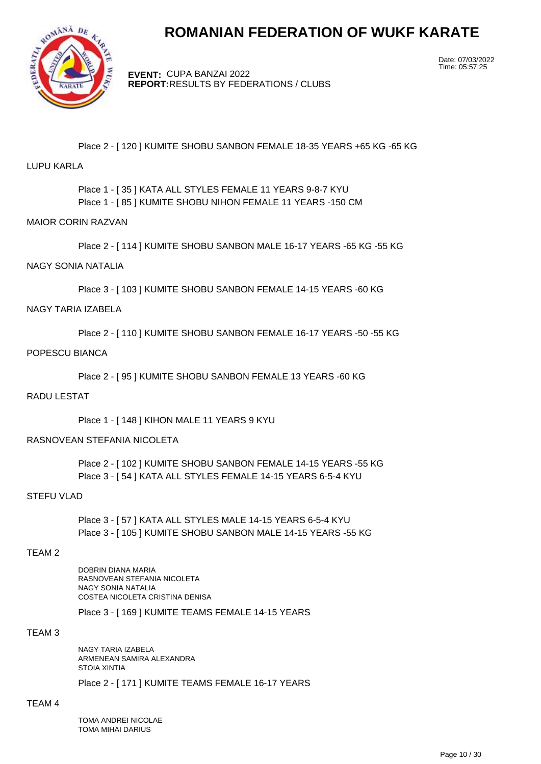

**EVENT:** CUPA BANZAI 2022 **REPORT:** RESULTS BY FEDERATIONS / CLUBS Date: 07/03/2022 Time: 05:57:25

# Place 2 - [ 120 ] KUMITE SHOBU SANBON FEMALE 18-35 YEARS +65 KG -65 KG

### LUPU KARLA

Place 1 - [ 35 ] KATA ALL STYLES FEMALE 11 YEARS 9-8-7 KYU Place 1 - [ 85 ] KUMITE SHOBU NIHON FEMALE 11 YEARS -150 CM

#### MAIOR CORIN RAZVAN

Place 2 - [ 114 ] KUMITE SHOBU SANBON MALE 16-17 YEARS -65 KG -55 KG

# NAGY SONIA NATALIA

Place 3 - [ 103 ] KUMITE SHOBU SANBON FEMALE 14-15 YEARS -60 KG

#### NAGY TARIA IZABELA

Place 2 - [ 110 ] KUMITE SHOBU SANBON FEMALE 16-17 YEARS -50 -55 KG

### POPESCU BIANCA

Place 2 - [ 95 ] KUMITE SHOBU SANBON FEMALE 13 YEARS -60 KG

### RADU LESTAT

Place 1 - [ 148 ] KIHON MALE 11 YEARS 9 KYU

#### RASNOVEAN STEFANIA NICOLETA

Place 2 - [ 102 ] KUMITE SHOBU SANBON FEMALE 14-15 YEARS -55 KG Place 3 - [ 54 ] KATA ALL STYLES FEMALE 14-15 YEARS 6-5-4 KYU

# STEFU VLAD

Place 3 - [ 57 ] KATA ALL STYLES MALE 14-15 YEARS 6-5-4 KYU Place 3 - [ 105 ] KUMITE SHOBU SANBON MALE 14-15 YEARS -55 KG

# TEAM 2

DOBRIN DIANA MARIA RASNOVEAN STEFANIA NICOLETA NAGY SONIA NATALIA COSTEA NICOLETA CRISTINA DENISA

Place 3 - [ 169 ] KUMITE TEAMS FEMALE 14-15 YEARS

### TEAM 3

NAGY TARIA IZABELA ARMENEAN SAMIRA ALEXANDRA STOIA XINTIA

Place 2 - [ 171 ] KUMITE TEAMS FEMALE 16-17 YEARS

#### TEAM 4

TOMA ANDREI NICOLAE TOMA MIHAI DARIUS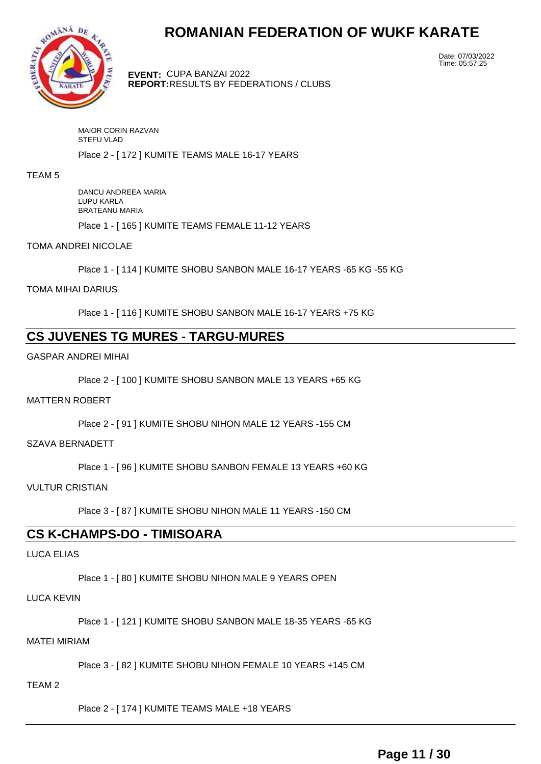

**EVENT:** CUPA BANZAI 2022 **REPORT:** RESULTS BY FEDERATIONS / CLUBS Date: 07/03/2022 Time: 05:57:25

MAIOR CORIN RAZVAN STEFU VLAD

Place 2 - [ 172 ] KUMITE TEAMS MALE 16-17 YEARS

#### TEAM 5

DANCU ANDREEA MARIA LUPU KARLA BRATEANU MARIA

Place 1 - [ 165 ] KUMITE TEAMS FEMALE 11-12 YEARS

#### TOMA ANDREI NICOLAE

Place 1 - [ 114 ] KUMITE SHOBU SANBON MALE 16-17 YEARS -65 KG -55 KG

# TOMA MIHAI DARIUS

Place 1 - [ 116 ] KUMITE SHOBU SANBON MALE 16-17 YEARS +75 KG

# **CS JUVENES TG MURES - TARGU-MURES**

GASPAR ANDREI MIHAI

Place 2 - [ 100 ] KUMITE SHOBU SANBON MALE 13 YEARS +65 KG

#### MATTERN ROBERT

Place 2 - [ 91 ] KUMITE SHOBU NIHON MALE 12 YEARS -155 CM

#### SZAVA BERNADETT

Place 1 - [ 96 ] KUMITE SHOBU SANBON FEMALE 13 YEARS +60 KG

# VULTUR CRISTIAN

Place 3 - [ 87 ] KUMITE SHOBU NIHON MALE 11 YEARS -150 CM

# **CS K-CHAMPS-DO - TIMISOARA**

# LUCA ELIAS

Place 1 - [80 ] KUMITE SHOBU NIHON MALE 9 YEARS OPEN

# LUCA KEVIN

Place 1 - [ 121 ] KUMITE SHOBU SANBON MALE 18-35 YEARS -65 KG

#### MATEI MIRIAM

Place 3 - [ 82 ] KUMITE SHOBU NIHON FEMALE 10 YEARS +145 CM

#### TEAM 2

Place 2 - [ 174 ] KUMITE TEAMS MALE +18 YEARS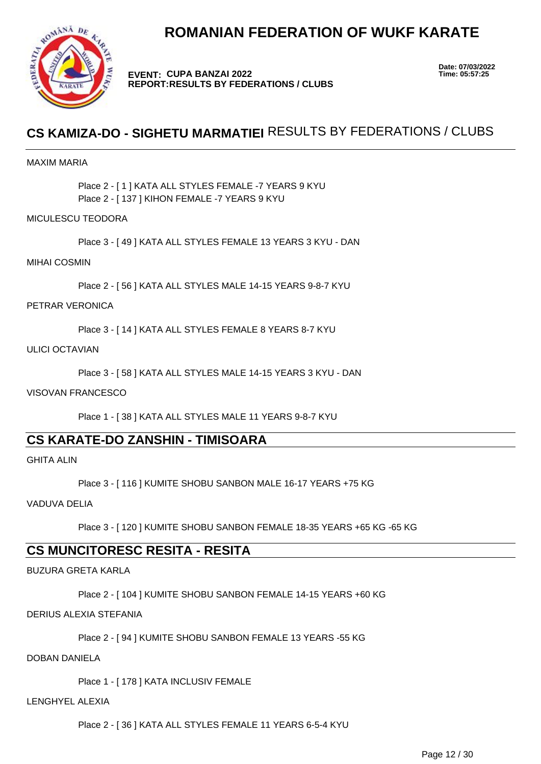

**EVENT: CUPA BANZAI 2022 REPORT: RESULTS BY FEDERATIONS / CLUBS** **Date: 07/03/2022**

# **CS KAMIZA-DO - SIGHETU MARMATIEI** RESULTS BY FEDERATIONS / CLUBS

# MAXIM MARIA

Place 2 - [ 1 ] KATA ALL STYLES FEMALE -7 YEARS 9 KYU Place 2 - [ 137 ] KIHON FEMALE -7 YEARS 9 KYU

# MICULESCU TEODORA

Place 3 - [ 49 ] KATA ALL STYLES FEMALE 13 YEARS 3 KYU - DAN

# MIHAI COSMIN

Place 2 - [ 56 ] KATA ALL STYLES MALE 14-15 YEARS 9-8-7 KYU

# PETRAR VERONICA

Place 3 - [ 14 ] KATA ALL STYLES FEMALE 8 YEARS 8-7 KYU

#### ULICI OCTAVIAN

Place 3 - [ 58 ] KATA ALL STYLES MALE 14-15 YEARS 3 KYU - DAN

# VISOVAN FRANCESCO

Place 1 - [ 38 ] KATA ALL STYLES MALE 11 YEARS 9-8-7 KYU

# **CS KARATE-DO ZANSHIN - TIMISOARA**

GHITA ALIN

Place 3 - [ 116 ] KUMITE SHOBU SANBON MALE 16-17 YEARS +75 KG

VADUVA DELIA

Place 3 - [ 120 ] KUMITE SHOBU SANBON FEMALE 18-35 YEARS +65 KG -65 KG

# **CS MUNCITORESC RESITA - RESITA**

BUZURA GRETA KARLA

Place 2 - [ 104 ] KUMITE SHOBU SANBON FEMALE 14-15 YEARS +60 KG

# DERIUS ALEXIA STEFANIA

Place 2 - [ 94 ] KUMITE SHOBU SANBON FEMALE 13 YEARS -55 KG

# DOBAN DANIELA

Place 1 - [ 178 ] KATA INCLUSIV FEMALE

# LENGHYEL ALEXIA

Place 2 - [ 36 ] KATA ALL STYLES FEMALE 11 YEARS 6-5-4 KYU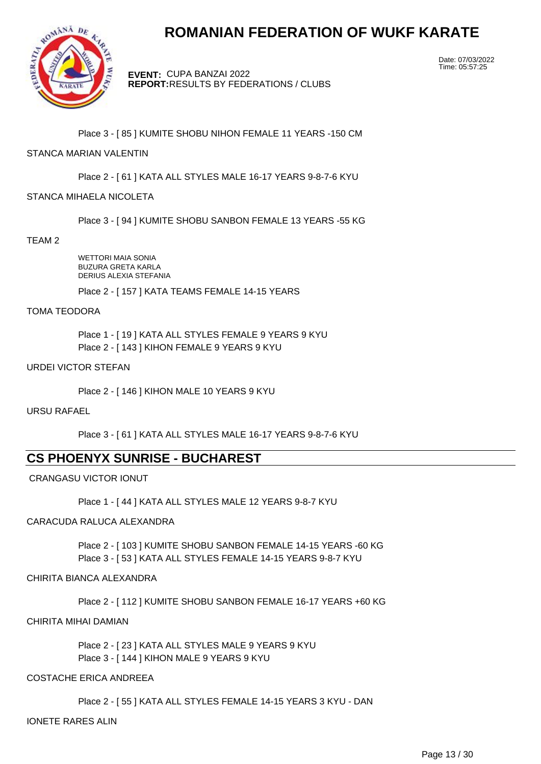

**EVENT:** CUPA BANZAI 2022 **REPORT:** RESULTS BY FEDERATIONS / CLUBS Date: 07/03/2022 Time: 05:57:25

# Place 3 - [ 85 ] KUMITE SHOBU NIHON FEMALE 11 YEARS -150 CM

# STANCA MARIAN VALENTIN

Place 2 - [ 61 ] KATA ALL STYLES MALE 16-17 YEARS 9-8-7-6 KYU

# STANCA MIHAELA NICOLETA

Place 3 - [ 94 ] KUMITE SHOBU SANBON FEMALE 13 YEARS -55 KG

TEAM 2

WETTORI MAIA SONIA BUZURA GRETA KARLA DERIUS ALEXIA STEFANIA

Place 2 - [ 157 ] KATA TEAMS FEMALE 14-15 YEARS

#### TOMA TEODORA

Place 1 - [ 19 ] KATA ALL STYLES FEMALE 9 YEARS 9 KYU Place 2 - [ 143 ] KIHON FEMALE 9 YEARS 9 KYU

# URDEI VICTOR STEFAN

Place 2 - [ 146 ] KIHON MALE 10 YEARS 9 KYU

# URSU RAFAEL

Place 3 - [ 61 ] KATA ALL STYLES MALE 16-17 YEARS 9-8-7-6 KYU

# **CS PHOENYX SUNRISE - BUCHAREST**

CRANGASU VICTOR IONUT

Place 1 - [ 44 ] KATA ALL STYLES MALE 12 YEARS 9-8-7 KYU

# CARACUDA RALUCA ALEXANDRA

Place 2 - [ 103 ] KUMITE SHOBU SANBON FEMALE 14-15 YEARS -60 KG Place 3 - [ 53 ] KATA ALL STYLES FEMALE 14-15 YEARS 9-8-7 KYU

# CHIRITA BIANCA ALEXANDRA

Place 2 - [ 112 ] KUMITE SHOBU SANBON FEMALE 16-17 YEARS +60 KG

# CHIRITA MIHAI DAMIAN

Place 2 - [ 23 ] KATA ALL STYLES MALE 9 YEARS 9 KYU Place 3 - [ 144 ] KIHON MALE 9 YEARS 9 KYU

# COSTACHE ERICA ANDREEA

Place 2 - [ 55 ] KATA ALL STYLES FEMALE 14-15 YEARS 3 KYU - DAN

IONETE RARES ALIN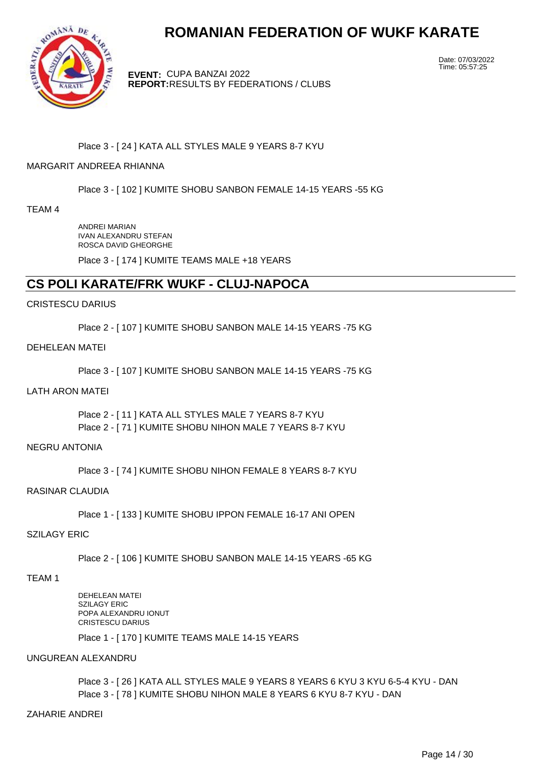

**EVENT:** CUPA BANZAI 2022 **REPORT:** RESULTS BY FEDERATIONS / CLUBS Date: 07/03/2022 Time: 05:57:25

# Place 3 - [ 24 ] KATA ALL STYLES MALE 9 YEARS 8-7 KYU

# MARGARIT ANDREEA RHIANNA

Place 3 - [ 102 ] KUMITE SHOBU SANBON FEMALE 14-15 YEARS -55 KG

TEAM 4

ANDREI MARIAN IVAN ALEXANDRU STEFAN ROSCA DAVID GHEORGHE

Place 3 - [ 174 ] KUMITE TEAMS MALE +18 YEARS

# **CS POLI KARATE/FRK WUKF - CLUJ-NAPOCA**

#### CRISTESCU DARIUS

Place 2 - [ 107 ] KUMITE SHOBU SANBON MALE 14-15 YEARS -75 KG

#### DEHELEAN MATEI

Place 3 - [ 107 ] KUMITE SHOBU SANBON MALE 14-15 YEARS -75 KG

#### LATH ARON MATEI

Place 2 - [ 11 ] KATA ALL STYLES MALE 7 YEARS 8-7 KYU Place 2 - [ 71 ] KUMITE SHOBU NIHON MALE 7 YEARS 8-7 KYU

### NEGRU ANTONIA

Place 3 - [ 74 ] KUMITE SHOBU NIHON FEMALE 8 YEARS 8-7 KYU

#### RASINAR CLAUDIA

Place 1 - [ 133 ] KUMITE SHOBU IPPON FEMALE 16-17 ANI OPEN

# SZILAGY ERIC

Place 2 - [ 106 ] KUMITE SHOBU SANBON MALE 14-15 YEARS -65 KG

#### TEAM 1

DEHELEAN MATEI SZILAGY ERIC POPA ALEXANDRU IONUT CRISTESCU DARIUS

Place 1 - [ 170 ] KUMITE TEAMS MALE 14-15 YEARS

#### UNGUREAN ALEXANDRU

Place 3 - [ 26 ] KATA ALL STYLES MALE 9 YEARS 8 YEARS 6 KYU 3 KYU 6-5-4 KYU - DAN Place 3 - [ 78 ] KUMITE SHOBU NIHON MALE 8 YEARS 6 KYU 8-7 KYU - DAN

# ZAHARIE ANDREI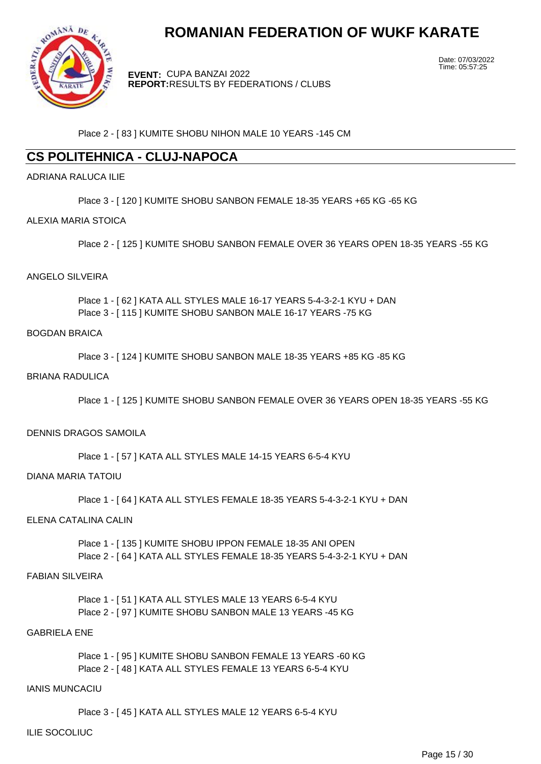

**EVENT:** CUPA BANZAI 2022 **REPORT:** RESULTS BY FEDERATIONS / CLUBS Date: 07/03/2022 Time: 05:57:25

Place 2 - [ 83 ] KUMITE SHOBU NIHON MALE 10 YEARS -145 CM

# **CS POLITEHNICA - CLUJ-NAPOCA**

# ADRIANA RALUCA ILIE

Place 3 - [ 120 ] KUMITE SHOBU SANBON FEMALE 18-35 YEARS +65 KG -65 KG

# ALEXIA MARIA STOICA

Place 2 - [ 125 ] KUMITE SHOBU SANBON FEMALE OVER 36 YEARS OPEN 18-35 YEARS -55 KG

#### ANGELO SILVEIRA

Place 1 - [ 62 ] KATA ALL STYLES MALE 16-17 YEARS 5-4-3-2-1 KYU + DAN Place 3 - [ 115 ] KUMITE SHOBU SANBON MALE 16-17 YEARS -75 KG

# BOGDAN BRAICA

Place 3 - [ 124 ] KUMITE SHOBU SANBON MALE 18-35 YEARS +85 KG -85 KG

#### BRIANA RADULICA

Place 1 - [ 125 ] KUMITE SHOBU SANBON FEMALE OVER 36 YEARS OPEN 18-35 YEARS -55 KG

# DENNIS DRAGOS SAMOILA

Place 1 - [ 57 ] KATA ALL STYLES MALE 14-15 YEARS 6-5-4 KYU

#### DIANA MARIA TATOIU

Place 1 - [ 64 ] KATA ALL STYLES FEMALE 18-35 YEARS 5-4-3-2-1 KYU + DAN

# ELENA CATALINA CALIN

Place 1 - [ 135 ] KUMITE SHOBU IPPON FEMALE 18-35 ANI OPEN Place 2 - [ 64 ] KATA ALL STYLES FEMALE 18-35 YEARS 5-4-3-2-1 KYU + DAN

# FABIAN SILVEIRA

Place 1 - [ 51 ] KATA ALL STYLES MALE 13 YEARS 6-5-4 KYU Place 2 - [ 97 ] KUMITE SHOBU SANBON MALE 13 YEARS -45 KG

# GABRIELA ENE

Place 1 - [ 95 ] KUMITE SHOBU SANBON FEMALE 13 YEARS -60 KG Place 2 - [ 48 ] KATA ALL STYLES FEMALE 13 YEARS 6-5-4 KYU

#### IANIS MUNCACIU

Place 3 - [ 45 ] KATA ALL STYLES MALE 12 YEARS 6-5-4 KYU

#### ILIE SOCOLIUC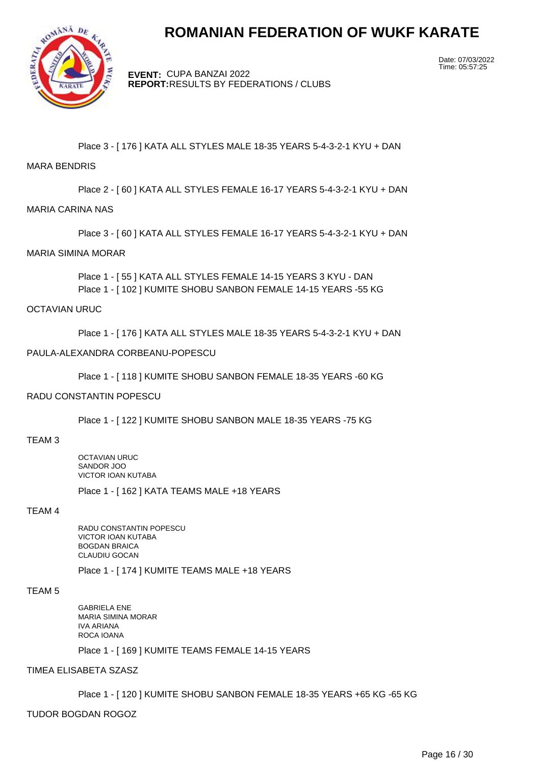

**EVENT:** CUPA BANZAI 2022 **REPORT:** RESULTS BY FEDERATIONS / CLUBS Date: 07/03/2022 Time: 05:57:25

# Place 3 - [ 176 ] KATA ALL STYLES MALE 18-35 YEARS 5-4-3-2-1 KYU + DAN

#### MARA BENDRIS

Place 2 - [ 60 ] KATA ALL STYLES FEMALE 16-17 YEARS 5-4-3-2-1 KYU + DAN

#### MARIA CARINA NAS

Place 3 - [ 60 ] KATA ALL STYLES FEMALE 16-17 YEARS 5-4-3-2-1 KYU + DAN

#### MARIA SIMINA MORAR

Place 1 - [ 55 ] KATA ALL STYLES FEMALE 14-15 YEARS 3 KYU - DAN Place 1 - [ 102 ] KUMITE SHOBU SANBON FEMALE 14-15 YEARS -55 KG

#### OCTAVIAN URUC

Place 1 - [ 176 ] KATA ALL STYLES MALE 18-35 YEARS 5-4-3-2-1 KYU + DAN

#### PAULA-ALEXANDRA CORBEANU-POPESCU

Place 1 - [ 118 ] KUMITE SHOBU SANBON FEMALE 18-35 YEARS -60 KG

#### RADU CONSTANTIN POPESCU

Place 1 - [ 122 ] KUMITE SHOBU SANBON MALE 18-35 YEARS -75 KG

#### TEAM 3

OCTAVIAN URUC SANDOR JOO VICTOR IOAN KUTABA

Place 1 - [ 162 ] KATA TEAMS MALE +18 YEARS

# TEAM 4

RADU CONSTANTIN POPESCU VICTOR IOAN KUTABA BOGDAN BRAICA CLAUDIU GOCAN

Place 1 - [ 174 ] KUMITE TEAMS MALE +18 YEARS

# TEAM 5

GABRIELA ENE MARIA SIMINA MORAR IVA ARIANA ROCA IOANA Place 1 - [ 169 ] KUMITE TEAMS FEMALE 14-15 YEARS

### TIMEA ELISABETA SZASZ

Place 1 - [ 120 ] KUMITE SHOBU SANBON FEMALE 18-35 YEARS +65 KG -65 KG

TUDOR BOGDAN ROGOZ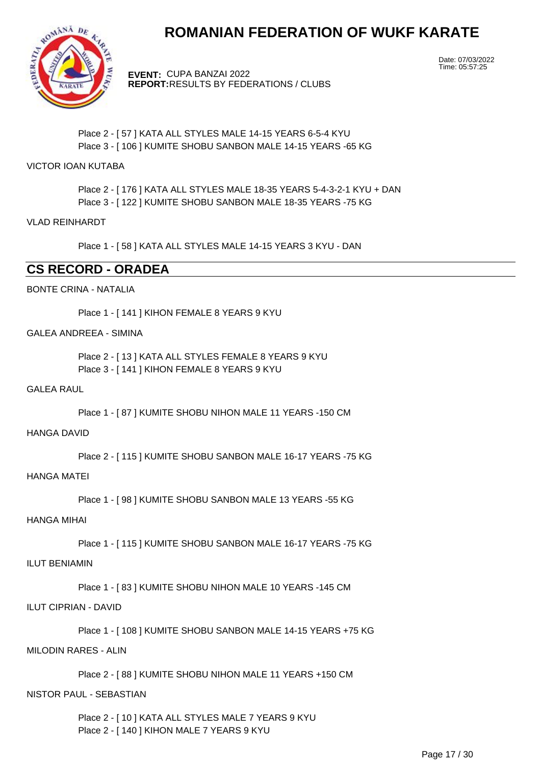

**EVENT:** CUPA BANZAI 2022 **REPORT:** RESULTS BY FEDERATIONS / CLUBS Date: 07/03/2022 Time: 05:57:25

# Place 2 - [ 57 ] KATA ALL STYLES MALE 14-15 YEARS 6-5-4 KYU Place 3 - [ 106 ] KUMITE SHOBU SANBON MALE 14-15 YEARS -65 KG

# VICTOR IOAN KUTABA

Place 2 - [ 176 ] KATA ALL STYLES MALE 18-35 YEARS 5-4-3-2-1 KYU + DAN Place 3 - [ 122 ] KUMITE SHOBU SANBON MALE 18-35 YEARS -75 KG

# VLAD REINHARDT

Place 1 - [ 58 ] KATA ALL STYLES MALE 14-15 YEARS 3 KYU - DAN

# **CS RECORD - ORADEA**

# BONTE CRINA - NATALIA

Place 1 - [ 141 ] KIHON FEMALE 8 YEARS 9 KYU

# GALEA ANDREEA - SIMINA

Place 2 - [ 13 ] KATA ALL STYLES FEMALE 8 YEARS 9 KYU Place 3 - [ 141 ] KIHON FEMALE 8 YEARS 9 KYU

# GALEA RAUL

Place 1 - [ 87 ] KUMITE SHOBU NIHON MALE 11 YEARS -150 CM

#### HANGA DAVID

Place 2 - [ 115 ] KUMITE SHOBU SANBON MALE 16-17 YEARS -75 KG

#### HANGA MATEI

Place 1 - [ 98 ] KUMITE SHOBU SANBON MALE 13 YEARS -55 KG

# HANGA MIHAI

Place 1 - [ 115 ] KUMITE SHOBU SANBON MALE 16-17 YEARS -75 KG

# ILUT BENIAMIN

Place 1 - [ 83 ] KUMITE SHOBU NIHON MALE 10 YEARS -145 CM

# ILUT CIPRIAN - DAVID

Place 1 - [ 108 ] KUMITE SHOBU SANBON MALE 14-15 YEARS +75 KG

# MILODIN RARES - ALIN

Place 2 - [ 88 ] KUMITE SHOBU NIHON MALE 11 YEARS +150 CM

# NISTOR PAUL - SEBASTIAN

Place 2 - [ 10 ] KATA ALL STYLES MALE 7 YEARS 9 KYU Place 2 - [ 140 ] KIHON MALE 7 YEARS 9 KYU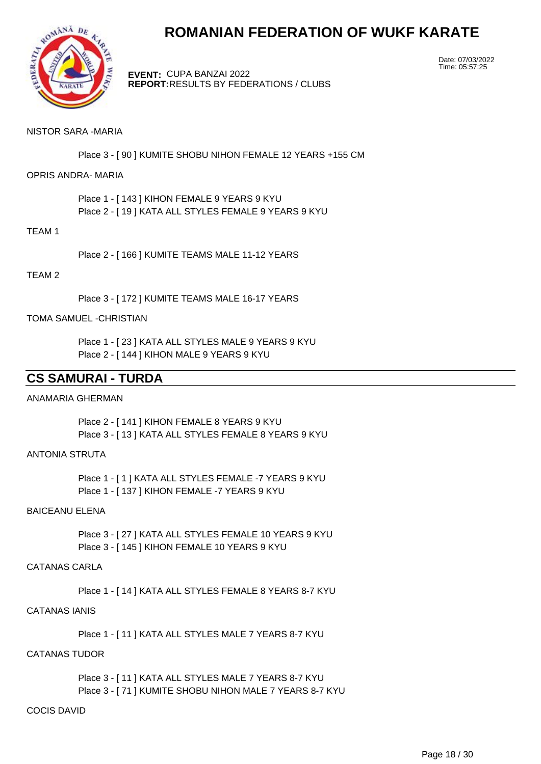

**EVENT:** CUPA BANZAI 2022 **REPORT:** RESULTS BY FEDERATIONS / CLUBS Date: 07/03/2022 Time: 05:57:25

### NISTOR SARA -MARIA

Place 3 - [ 90 ] KUMITE SHOBU NIHON FEMALE 12 YEARS +155 CM

# OPRIS ANDRA- MARIA

Place 1 - [ 143 ] KIHON FEMALE 9 YEARS 9 KYU Place 2 - [ 19 ] KATA ALL STYLES FEMALE 9 YEARS 9 KYU

#### TEAM 1

Place 2 - [ 166 ] KUMITE TEAMS MALE 11-12 YEARS

#### TEAM 2

Place 3 - [ 172 ] KUMITE TEAMS MALE 16-17 YEARS

#### TOMA SAMUEL -CHRISTIAN

Place 1 - [ 23 ] KATA ALL STYLES MALE 9 YEARS 9 KYU Place 2 - [ 144 ] KIHON MALE 9 YEARS 9 KYU

# **CS SAMURAI - TURDA**

#### ANAMARIA GHERMAN

Place 2 - [ 141 ] KIHON FEMALE 8 YEARS 9 KYU Place 3 - [ 13 ] KATA ALL STYLES FEMALE 8 YEARS 9 KYU

### ANTONIA STRUTA

Place 1 - [ 1 ] KATA ALL STYLES FEMALE -7 YEARS 9 KYU Place 1 - [ 137 ] KIHON FEMALE -7 YEARS 9 KYU

# BAICEANU ELENA

Place 3 - [ 27 ] KATA ALL STYLES FEMALE 10 YEARS 9 KYU Place 3 - [ 145 ] KIHON FEMALE 10 YEARS 9 KYU

### CATANAS CARLA

Place 1 - [ 14 ] KATA ALL STYLES FEMALE 8 YEARS 8-7 KYU

# CATANAS IANIS

Place 1 - [ 11 ] KATA ALL STYLES MALE 7 YEARS 8-7 KYU

# CATANAS TUDOR

Place 3 - [ 11 ] KATA ALL STYLES MALE 7 YEARS 8-7 KYU Place 3 - [ 71 ] KUMITE SHOBU NIHON MALE 7 YEARS 8-7 KYU

# COCIS DAVID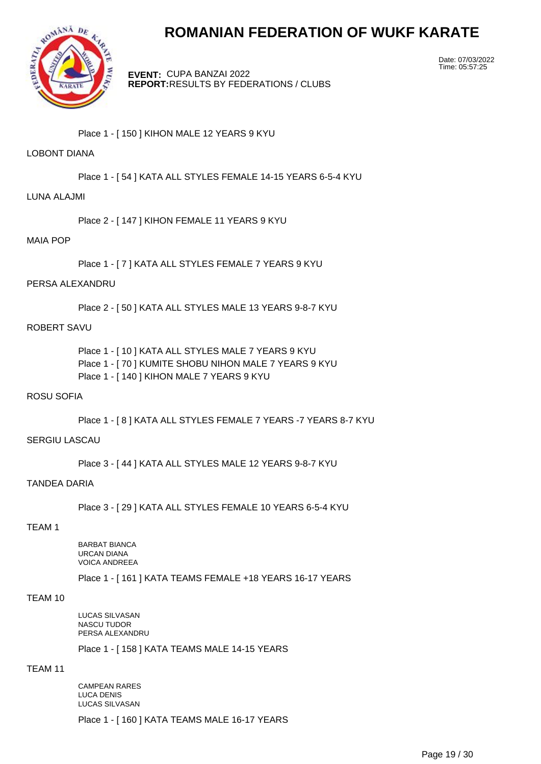

**EVENT:** CUPA BANZAI 2022 **REPORT:** RESULTS BY FEDERATIONS / CLUBS Date: 07/03/2022 Time: 05:57:25

Place 1 - [ 150 ] KIHON MALE 12 YEARS 9 KYU

# LOBONT DIANA

Place 1 - [ 54 ] KATA ALL STYLES FEMALE 14-15 YEARS 6-5-4 KYU

#### LUNA ALAJMI

Place 2 - [ 147 ] KIHON FEMALE 11 YEARS 9 KYU

# MAIA POP

Place 1 - [ 7 ] KATA ALL STYLES FEMALE 7 YEARS 9 KYU

### PERSA ALEXANDRU

Place 2 - [ 50 ] KATA ALL STYLES MALE 13 YEARS 9-8-7 KYU

# ROBERT SAVU

Place 1 - [ 10 ] KATA ALL STYLES MALE 7 YEARS 9 KYU Place 1 - [ 70 ] KUMITE SHOBU NIHON MALE 7 YEARS 9 KYU Place 1 - [ 140 ] KIHON MALE 7 YEARS 9 KYU

#### ROSU SOFIA

Place 1 - [ 8 ] KATA ALL STYLES FEMALE 7 YEARS -7 YEARS 8-7 KYU

#### SERGIU LASCAU

Place 3 - [ 44 ] KATA ALL STYLES MALE 12 YEARS 9-8-7 KYU

#### TANDEA DARIA

Place 3 - [ 29 ] KATA ALL STYLES FEMALE 10 YEARS 6-5-4 KYU

#### TEAM 1

BARBAT BIANCA URCAN DIANA VOICA ANDREEA

Place 1 - [ 161 ] KATA TEAMS FEMALE +18 YEARS 16-17 YEARS

#### TEAM 10

LUCAS SILVASAN NASCU TUDOR PERSA ALEXANDRU Place 1 - [ 158 ] KATA TEAMS MALE 14-15 YEARS

# TEAM 11

CAMPEAN RARES LUCA DENIS LUCAS SILVASAN Place 1 - [ 160 ] KATA TEAMS MALE 16-17 YEARS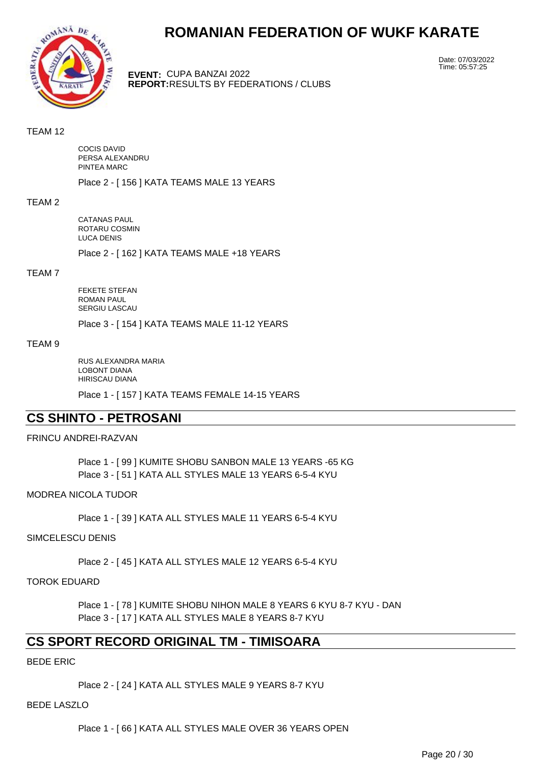

**EVENT:** CUPA BANZAI 2022 **REPORT:** RESULTS BY FEDERATIONS / CLUBS Date: 07/03/2022 Time: 05:57:25

#### TEAM 12

COCIS DAVID PERSA ALEXANDRU PINTEA MARC

Place 2 - [ 156 ] KATA TEAMS MALE 13 YEARS

#### TEAM 2

CATANAS PAUL ROTARU COSMIN LUCA DENIS

Place 2 - [ 162 ] KATA TEAMS MALE +18 YEARS

# TEAM 7

FEKETE STEFAN ROMAN PAUL SERGIU LASCAU

Place 3 - [ 154 ] KATA TEAMS MALE 11-12 YEARS

#### TEAM 9

RUS ALEXANDRA MARIA LOBONT DIANA HIRISCAU DIANA

Place 1 - [ 157 ] KATA TEAMS FEMALE 14-15 YEARS

# **CS SHINTO - PETROSANI**

### FRINCU ANDREI-RAZVAN

Place 1 - [ 99 ] KUMITE SHOBU SANBON MALE 13 YEARS -65 KG Place 3 - [ 51 ] KATA ALL STYLES MALE 13 YEARS 6-5-4 KYU

#### MODREA NICOLA TUDOR

Place 1 - [ 39 ] KATA ALL STYLES MALE 11 YEARS 6-5-4 KYU

#### SIMCELESCU DENIS

Place 2 - [ 45 ] KATA ALL STYLES MALE 12 YEARS 6-5-4 KYU

### TOROK EDUARD

Place 1 - [ 78 ] KUMITE SHOBU NIHON MALE 8 YEARS 6 KYU 8-7 KYU - DAN Place 3 - [ 17 ] KATA ALL STYLES MALE 8 YEARS 8-7 KYU

# **CS SPORT RECORD ORIGINAL TM - TIMISOARA**

#### BEDE ERIC

Place 2 - [ 24 ] KATA ALL STYLES MALE 9 YEARS 8-7 KYU

#### BEDE LASZLO

Place 1 - [66 ] KATA ALL STYLES MALE OVER 36 YEARS OPEN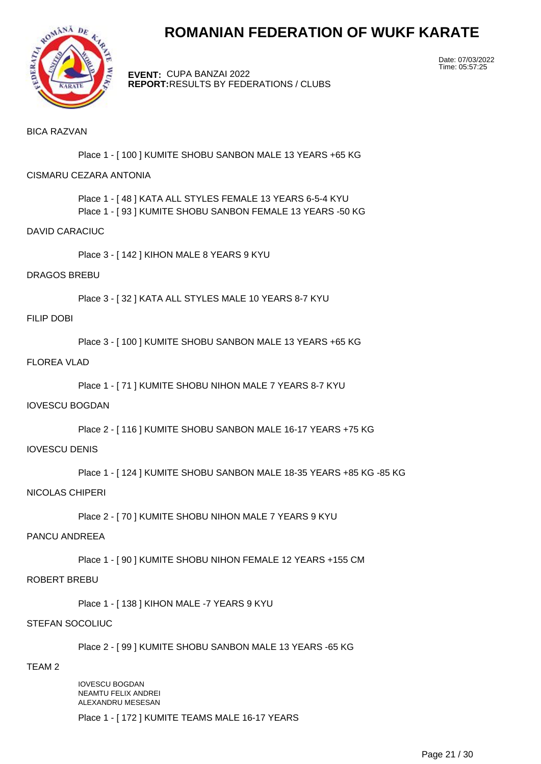

**EVENT:** CUPA BANZAI 2022 **REPORT:** RESULTS BY FEDERATIONS / CLUBS Date: 07/03/2022 Time: 05:57:25

### BICA RAZVAN

Place 1 - [ 100 ] KUMITE SHOBU SANBON MALE 13 YEARS +65 KG

# CISMARU CEZARA ANTONIA

Place 1 - [ 48 ] KATA ALL STYLES FEMALE 13 YEARS 6-5-4 KYU Place 1 - [ 93 ] KUMITE SHOBU SANBON FEMALE 13 YEARS -50 KG

#### DAVID CARACIUC

Place 3 - [ 142 ] KIHON MALE 8 YEARS 9 KYU

#### DRAGOS BREBU

Place 3 - [ 32 ] KATA ALL STYLES MALE 10 YEARS 8-7 KYU

#### FILIP DOBI

Place 3 - [ 100 ] KUMITE SHOBU SANBON MALE 13 YEARS +65 KG

### FLOREA VLAD

Place 1 - [ 71 ] KUMITE SHOBU NIHON MALE 7 YEARS 8-7 KYU

# IOVESCU BOGDAN

Place 2 - [ 116 ] KUMITE SHOBU SANBON MALE 16-17 YEARS +75 KG

#### IOVESCU DENIS

Place 1 - [ 124 ] KUMITE SHOBU SANBON MALE 18-35 YEARS +85 KG -85 KG

### NICOLAS CHIPERI

Place 2 - [ 70 ] KUMITE SHOBU NIHON MALE 7 YEARS 9 KYU

### PANCU ANDREEA

Place 1 - [ 90 ] KUMITE SHOBU NIHON FEMALE 12 YEARS +155 CM

#### ROBERT BREBU

Place 1 - [ 138 ] KIHON MALE -7 YEARS 9 KYU

### STEFAN SOCOLIUC

Place 2 - [ 99 ] KUMITE SHOBU SANBON MALE 13 YEARS -65 KG

#### TEAM 2

IOVESCU BOGDAN NEAMTU FELIX ANDREI ALEXANDRU MESESAN

Place 1 - [ 172 ] KUMITE TEAMS MALE 16-17 YEARS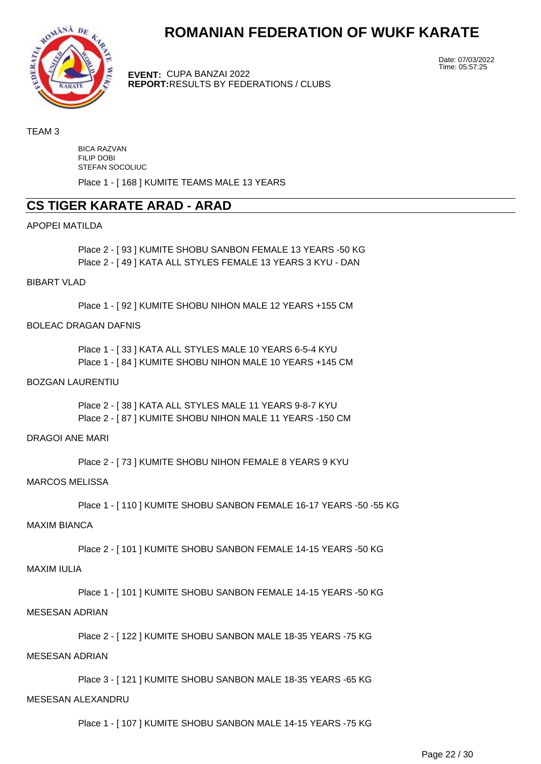

**EVENT:** CUPA BANZAI 2022 **REPORT:** RESULTS BY FEDERATIONS / CLUBS Date: 07/03/2022 Time: 05:57:25

#### TEAM 3

BICA RAZVAN FILIP DOBI STEFAN SOCOLIUC

Place 1 - [ 168 ] KUMITE TEAMS MALE 13 YEARS

# **CS TIGER KARATE ARAD - ARAD**

#### APOPEI MATILDA

Place 2 - [ 93 ] KUMITE SHOBU SANBON FEMALE 13 YEARS -50 KG Place 2 - [ 49 ] KATA ALL STYLES FEMALE 13 YEARS 3 KYU - DAN

BIBART VLAD

Place 1 - [ 92 ] KUMITE SHOBU NIHON MALE 12 YEARS +155 CM

# BOLEAC DRAGAN DAFNIS

Place 1 - [ 33 ] KATA ALL STYLES MALE 10 YEARS 6-5-4 KYU Place 1 - [ 84 ] KUMITE SHOBU NIHON MALE 10 YEARS +145 CM

# BOZGAN LAURENTIU

Place 2 - [ 38 ] KATA ALL STYLES MALE 11 YEARS 9-8-7 KYU Place 2 - [ 87 ] KUMITE SHOBU NIHON MALE 11 YEARS -150 CM

#### DRAGOI ANE MARI

Place 2 - [ 73 ] KUMITE SHOBU NIHON FEMALE 8 YEARS 9 KYU

#### MARCOS MELISSA

Place 1 - [ 110 ] KUMITE SHOBU SANBON FEMALE 16-17 YEARS -50 -55 KG

# MAXIM BIANCA

Place 2 - [ 101 ] KUMITE SHOBU SANBON FEMALE 14-15 YEARS -50 KG

#### MAXIM IULIA

Place 1 - [ 101 ] KUMITE SHOBU SANBON FEMALE 14-15 YEARS -50 KG

### MESESAN ADRIAN

Place 2 - [ 122 ] KUMITE SHOBU SANBON MALE 18-35 YEARS -75 KG

# MESESAN ADRIAN

Place 3 - [ 121 ] KUMITE SHOBU SANBON MALE 18-35 YEARS -65 KG

# MESESAN ALEXANDRU

Place 1 - [ 107 ] KUMITE SHOBU SANBON MALE 14-15 YEARS -75 KG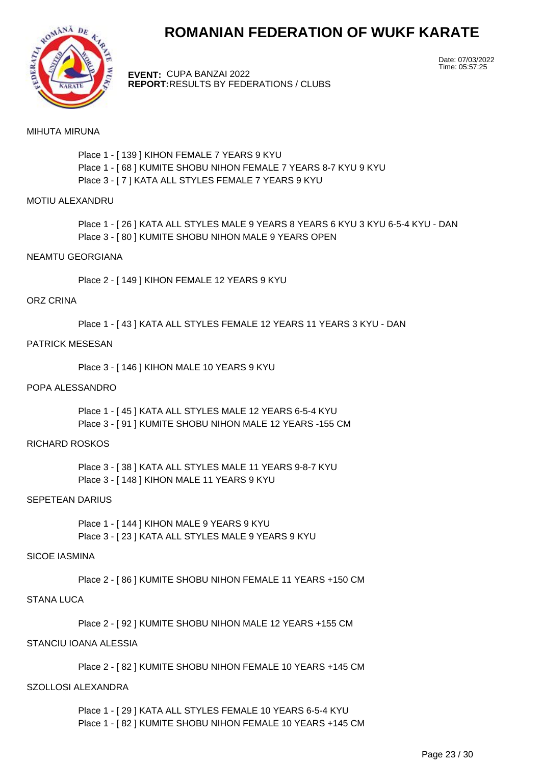

**EVENT:** CUPA BANZAI 2022 **REPORT:** RESULTS BY FEDERATIONS / CLUBS Date: 07/03/2022 Time: 05:57:25

#### MIHUTA MIRUNA

Place 1 - [ 139 ] KIHON FEMALE 7 YEARS 9 KYU Place 1 - [ 68 ] KUMITE SHOBU NIHON FEMALE 7 YEARS 8-7 KYU 9 KYU Place 3 - [ 7 ] KATA ALL STYLES FEMALE 7 YEARS 9 KYU

#### MOTIU ALEXANDRU

Place 1 - [ 26 ] KATA ALL STYLES MALE 9 YEARS 8 YEARS 6 KYU 3 KYU 6-5-4 KYU - DAN Place 3 - [ 80 ] KUMITE SHOBU NIHON MALE 9 YEARS OPEN

#### NEAMTU GEORGIANA

Place 2 - [ 149 ] KIHON FEMALE 12 YEARS 9 KYU

#### ORZ CRINA

Place 1 - [ 43 ] KATA ALL STYLES FEMALE 12 YEARS 11 YEARS 3 KYU - DAN

### PATRICK MESESAN

Place 3 - [ 146 ] KIHON MALE 10 YEARS 9 KYU

#### POPA ALESSANDRO

Place 1 - [ 45 ] KATA ALL STYLES MALE 12 YEARS 6-5-4 KYU Place 3 - [ 91 ] KUMITE SHOBU NIHON MALE 12 YEARS -155 CM

#### RICHARD ROSKOS

Place 3 - [ 38 ] KATA ALL STYLES MALE 11 YEARS 9-8-7 KYU Place 3 - [ 148 ] KIHON MALE 11 YEARS 9 KYU

#### SEPETEAN DARIUS

Place 1 - [ 144 ] KIHON MALE 9 YEARS 9 KYU Place 3 - [ 23 ] KATA ALL STYLES MALE 9 YEARS 9 KYU

#### SICOE IASMINA

Place 2 - [ 86 ] KUMITE SHOBU NIHON FEMALE 11 YEARS +150 CM

#### STANA LUCA

Place 2 - [ 92 ] KUMITE SHOBU NIHON MALE 12 YEARS +155 CM

# STANCIU IOANA ALESSIA

Place 2 - [ 82 ] KUMITE SHOBU NIHON FEMALE 10 YEARS +145 CM

#### SZOLLOSI ALEXANDRA

Place 1 - [ 29 ] KATA ALL STYLES FEMALE 10 YEARS 6-5-4 KYU Place 1 - [ 82 ] KUMITE SHOBU NIHON FEMALE 10 YEARS +145 CM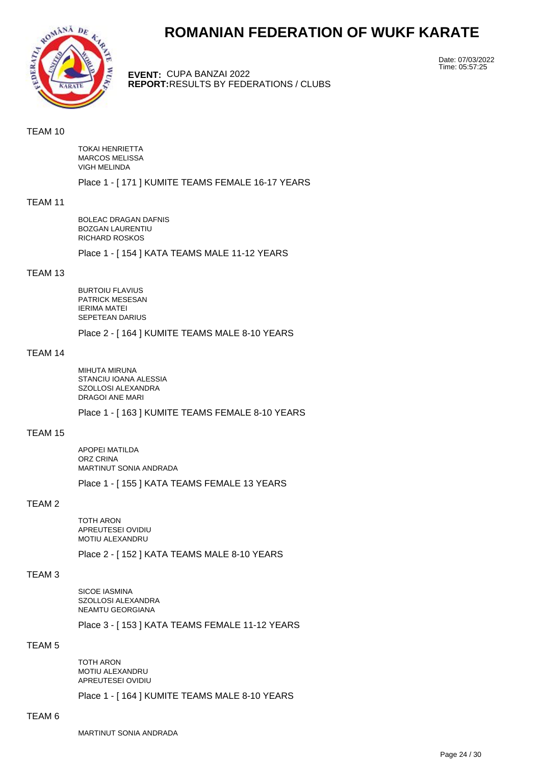

**EVENT:** CUPA BANZAI 2022 **REPORT:** RESULTS BY FEDERATIONS / CLUBS Date: 07/03/2022 Time: 05:57:25

#### TEAM 10

TOKAI HENRIETTA MARCOS MELISSA VIGH MELINDA

Place 1 - [ 171 ] KUMITE TEAMS FEMALE 16-17 YEARS

#### TEAM 11

BOLEAC DRAGAN DAFNIS BOZGAN LAURENTIU RICHARD ROSKOS

Place 1 - [ 154 ] KATA TEAMS MALE 11-12 YEARS

# TEAM 13

BURTOIU FLAVIUS PATRICK MESESAN IERIMA MATEI SEPETEAN DARIUS

Place 2 - [ 164 ] KUMITE TEAMS MALE 8-10 YEARS

### TEAM 14

MIHUTA MIRUNA STANCIU IOANA ALESSIA SZOLLOSI ALEXANDRA DRAGOI ANE MARI

Place 1 - [ 163 ] KUMITE TEAMS FEMALE 8-10 YEARS

#### TEAM 15

APOPEI MATILDA ORZ CRINA MARTINUT SONIA ANDRADA

Place 1 - [ 155 ] KATA TEAMS FEMALE 13 YEARS

# TEAM 2

TOTH ARON APREUTESEI OVIDIU MOTIU ALEXANDRU

Place 2 - [ 152 ] KATA TEAMS MALE 8-10 YEARS

# TEAM 3

SICOE IASMINA SZOLLOSI ALEXANDRA NEAMTU GEORGIANA

Place 3 - [ 153 ] KATA TEAMS FEMALE 11-12 YEARS

#### TEAM 5

TOTH ARON MOTIU ALEXANDRU APREUTESEI OVIDIU

Place 1 - [ 164 ] KUMITE TEAMS MALE 8-10 YEARS

#### TEAM 6

MARTINUT SONIA ANDRADA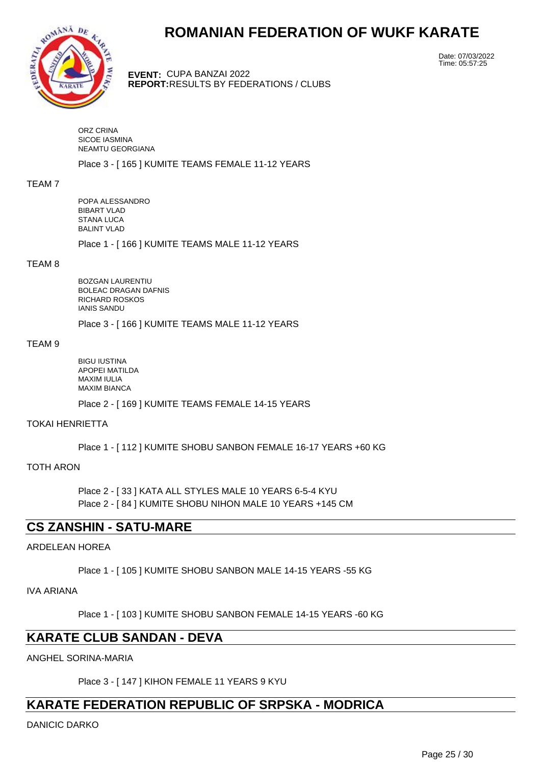

**EVENT:** CUPA BANZAI 2022 **REPORT:** RESULTS BY FEDERATIONS / CLUBS Date: 07/03/2022 Time: 05:57:25

ORZ CRINA SICOE IASMINA NEAMTU GEORGIANA

Place 3 - [ 165 ] KUMITE TEAMS FEMALE 11-12 YEARS

#### TEAM 7

POPA ALESSANDRO BIBART VLAD STANA LUCA BALINT VLAD

Place 1 - [ 166 ] KUMITE TEAMS MALE 11-12 YEARS

#### TEAM 8

BOZGAN LAURENTIU BOLEAC DRAGAN DAFNIS RICHARD ROSKOS IANIS SANDU

Place 3 - [ 166 ] KUMITE TEAMS MALE 11-12 YEARS

#### TEAM 9

BIGU IUSTINA APOPEI MATILDA MAXIM IULIA MAXIM BIANCA Place 2 - [ 169 ] KUMITE TEAMS FEMALE 14-15 YEARS

TOKAI HENRIETTA

Place 1 - [ 112 ] KUMITE SHOBU SANBON FEMALE 16-17 YEARS +60 KG

TOTH ARON

Place 2 - [ 33 ] KATA ALL STYLES MALE 10 YEARS 6-5-4 KYU Place 2 - [ 84 ] KUMITE SHOBU NIHON MALE 10 YEARS +145 CM

# **CS ZANSHIN - SATU-MARE**

# ARDELEAN HOREA

Place 1 - [ 105 ] KUMITE SHOBU SANBON MALE 14-15 YEARS -55 KG

IVA ARIANA

Place 1 - [ 103 ] KUMITE SHOBU SANBON FEMALE 14-15 YEARS -60 KG

# **KARATE CLUB SANDAN - DEVA**

ANGHEL SORINA-MARIA

Place 3 - [ 147 ] KIHON FEMALE 11 YEARS 9 KYU

# **KARATE FEDERATION REPUBLIC OF SRPSKA - MODRICA**

DANICIC DARKO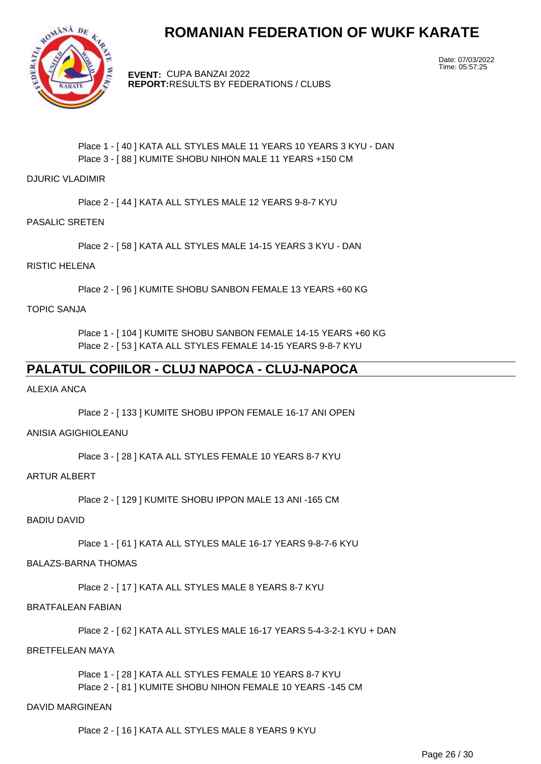

**EVENT:** CUPA BANZAI 2022 **REPORT:** RESULTS BY FEDERATIONS / CLUBS Date: 07/03/2022 Time: 05:57:25

# Place 1 - [40 ] KATA ALL STYLES MALE 11 YEARS 10 YEARS 3 KYU - DAN Place 3 - [ 88 ] KUMITE SHOBU NIHON MALE 11 YEARS +150 CM

### DJURIC VLADIMIR

Place 2 - [ 44 ] KATA ALL STYLES MALE 12 YEARS 9-8-7 KYU

# PASALIC SRETEN

Place 2 - [ 58 ] KATA ALL STYLES MALE 14-15 YEARS 3 KYU - DAN

# RISTIC HELENA

Place 2 - [ 96 ] KUMITE SHOBU SANBON FEMALE 13 YEARS +60 KG

# TOPIC SANJA

Place 1 - [ 104 ] KUMITE SHOBU SANBON FEMALE 14-15 YEARS +60 KG Place 2 - [ 53 ] KATA ALL STYLES FEMALE 14-15 YEARS 9-8-7 KYU

# **PALATUL COPIILOR - CLUJ NAPOCA - CLUJ-NAPOCA**

# ALEXIA ANCA

Place 2 - [ 133 ] KUMITE SHOBU IPPON FEMALE 16-17 ANI OPEN

# ANISIA AGIGHIOLEANU

Place 3 - [ 28 ] KATA ALL STYLES FEMALE 10 YEARS 8-7 KYU

#### ARTUR ALBERT

Place 2 - [ 129 ] KUMITE SHOBU IPPON MALE 13 ANI -165 CM

# BADIU DAVID

Place 1 - [ 61 ] KATA ALL STYLES MALE 16-17 YEARS 9-8-7-6 KYU

# BALAZS-BARNA THOMAS

Place 2 - [ 17 ] KATA ALL STYLES MALE 8 YEARS 8-7 KYU

#### BRATFALEAN FABIAN

Place 2 - [ 62 ] KATA ALL STYLES MALE 16-17 YEARS 5-4-3-2-1 KYU + DAN

# BRETFELEAN MAYA

Place 1 - [ 28 ] KATA ALL STYLES FEMALE 10 YEARS 8-7 KYU Place 2 - [ 81 ] KUMITE SHOBU NIHON FEMALE 10 YEARS -145 CM

#### DAVID MARGINEAN

Place 2 - [ 16 ] KATA ALL STYLES MALE 8 YEARS 9 KYU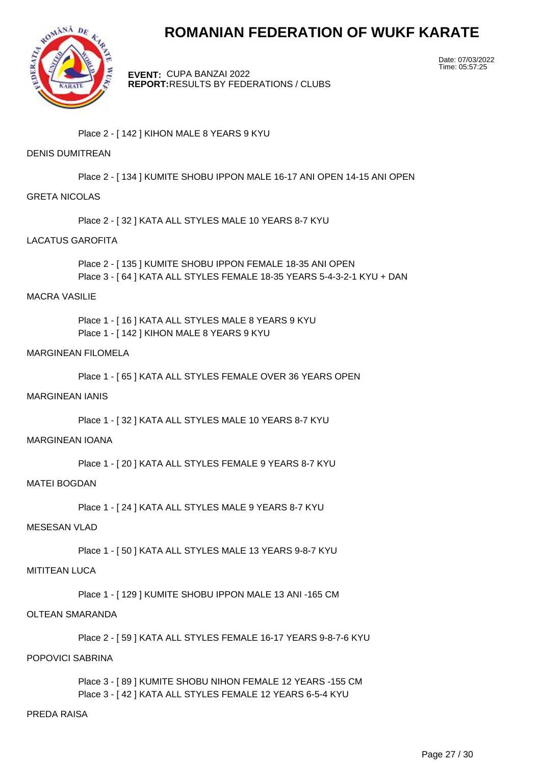

**EVENT:** CUPA BANZAI 2022 **REPORT:** RESULTS BY FEDERATIONS / CLUBS Date: 07/03/2022 Time: 05:57:25

Place 2 - [ 142 ] KIHON MALE 8 YEARS 9 KYU

# DENIS DUMITREAN

Place 2 - [ 134 ] KUMITE SHOBU IPPON MALE 16-17 ANI OPEN 14-15 ANI OPEN

#### GRETA NICOLAS

Place 2 - [ 32 ] KATA ALL STYLES MALE 10 YEARS 8-7 KYU

#### LACATUS GAROFITA

Place 2 - [ 135 ] KUMITE SHOBU IPPON FEMALE 18-35 ANI OPEN Place 3 - [ 64 ] KATA ALL STYLES FEMALE 18-35 YEARS 5-4-3-2-1 KYU + DAN

#### MACRA VASILIE

Place 1 - [ 16 ] KATA ALL STYLES MALE 8 YEARS 9 KYU Place 1 - [ 142 ] KIHON MALE 8 YEARS 9 KYU

### MARGINEAN FILOMELA

Place 1 - [ 65 ] KATA ALL STYLES FEMALE OVER 36 YEARS OPEN

#### MARGINEAN IANIS

Place 1 - [ 32 ] KATA ALL STYLES MALE 10 YEARS 8-7 KYU

#### MARGINEAN IOANA

Place 1 - [ 20 ] KATA ALL STYLES FEMALE 9 YEARS 8-7 KYU

#### MATEI BOGDAN

Place 1 - [ 24 ] KATA ALL STYLES MALE 9 YEARS 8-7 KYU

#### MESESAN VLAD

Place 1 - [50 ] KATA ALL STYLES MALE 13 YEARS 9-8-7 KYU

#### MITITEAN LUCA

Place 1 - [ 129 ] KUMITE SHOBU IPPON MALE 13 ANI -165 CM

#### OLTEAN SMARANDA

Place 2 - [ 59 ] KATA ALL STYLES FEMALE 16-17 YEARS 9-8-7-6 KYU

### POPOVICI SABRINA

Place 3 - [ 89 ] KUMITE SHOBU NIHON FEMALE 12 YEARS -155 CM Place 3 - [ 42 ] KATA ALL STYLES FEMALE 12 YEARS 6-5-4 KYU

### PREDA RAISA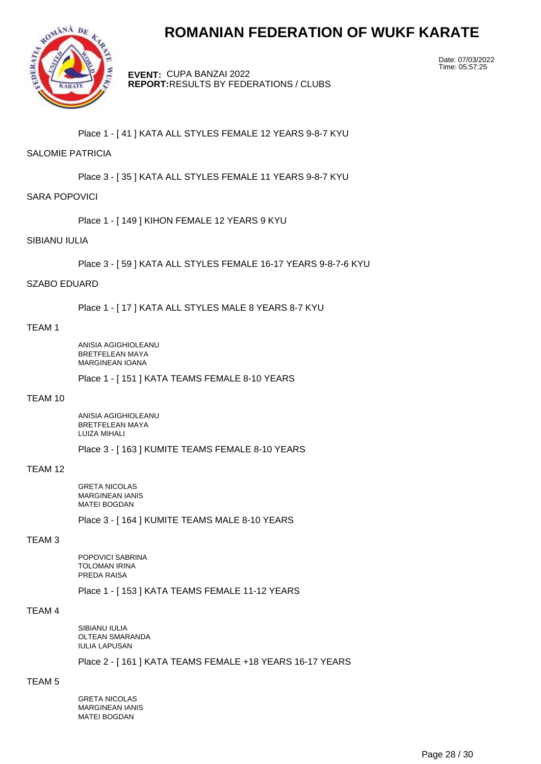

**EVENT:** CUPA BANZAI 2022 **REPORT:** RESULTS BY FEDERATIONS / CLUBS Date: 07/03/2022 Time: 05:57:25

Place 1 - [ 41 ] KATA ALL STYLES FEMALE 12 YEARS 9-8-7 KYU

# SALOMIE PATRICIA

Place 3 - [ 35 ] KATA ALL STYLES FEMALE 11 YEARS 9-8-7 KYU

#### SARA POPOVICI

Place 1 - [ 149 ] KIHON FEMALE 12 YEARS 9 KYU

#### SIBIANU IULIA

Place 3 - [ 59 ] KATA ALL STYLES FEMALE 16-17 YEARS 9-8-7-6 KYU

## SZABO EDUARD

Place 1 - [ 17 ] KATA ALL STYLES MALE 8 YEARS 8-7 KYU

#### TEAM 1

ANISIA AGIGHIOLEANU BRETFELEAN MAYA MARGINEAN IOANA

Place 1 - [ 151 ] KATA TEAMS FEMALE 8-10 YEARS

#### TEAM 10

ANISIA AGIGHIOLEANU BRETFELEAN MAYA LUIZA MIHALI

Place 3 - [ 163 ] KUMITE TEAMS FEMALE 8-10 YEARS

### TEAM 12

GRETA NICOLAS MARGINEAN IANIS MATEI BOGDAN

Place 3 - [ 164 ] KUMITE TEAMS MALE 8-10 YEARS

#### TEAM 3

POPOVICI SABRINA TOLOMAN IRINA PREDA RAISA

Place 1 - [ 153 ] KATA TEAMS FEMALE 11-12 YEARS

# TEAM 4

SIBIANU IULIA OLTEAN SMARANDA IULIA LAPUSAN

# Place 2 - [ 161 ] KATA TEAMS FEMALE +18 YEARS 16-17 YEARS

# TEAM 5

GRETA NICOLAS MARGINEAN IANIS MATEI BOGDAN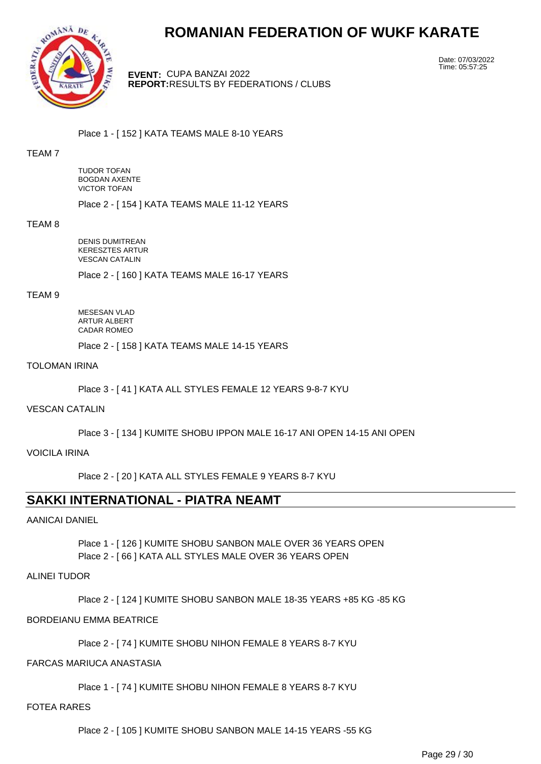

**EVENT:** CUPA BANZAI 2022 **REPORT:** RESULTS BY FEDERATIONS / CLUBS Date: 07/03/2022 Time: 05:57:25

Place 1 - [ 152 ] KATA TEAMS MALE 8-10 YEARS

### TEAM 7

TUDOR TOFAN BOGDAN AXENTE VICTOR TOFAN

Place 2 - [ 154 ] KATA TEAMS MALE 11-12 YEARS

#### TEAM 8

DENIS DUMITREAN KERESZTES ARTUR VESCAN CATALIN

Place 2 - [ 160 ] KATA TEAMS MALE 16-17 YEARS

#### TEAM 9

MESESAN VLAD ARTUR ALBERT CADAR ROMEO

Place 2 - [ 158 ] KATA TEAMS MALE 14-15 YEARS

# TOLOMAN IRINA

Place 3 - [ 41 ] KATA ALL STYLES FEMALE 12 YEARS 9-8-7 KYU

#### VESCAN CATALIN

Place 3 - [ 134 ] KUMITE SHOBU IPPON MALE 16-17 ANI OPEN 14-15 ANI OPEN

#### VOICILA IRINA

Place 2 - [ 20 ] KATA ALL STYLES FEMALE 9 YEARS 8-7 KYU

# **SAKKI INTERNATIONAL - PIATRA NEAMT**

#### AANICAI DANIEL

Place 1 - [ 126 ] KUMITE SHOBU SANBON MALE OVER 36 YEARS OPEN Place 2 - [66 ] KATA ALL STYLES MALE OVER 36 YEARS OPEN

# ALINEI TUDOR

Place 2 - [ 124 ] KUMITE SHOBU SANBON MALE 18-35 YEARS +85 KG -85 KG

# BORDEIANU EMMA BEATRICE

Place 2 - [ 74 ] KUMITE SHOBU NIHON FEMALE 8 YEARS 8-7 KYU

#### FARCAS MARIUCA ANASTASIA

Place 1 - [ 74 ] KUMITE SHOBU NIHON FEMALE 8 YEARS 8-7 KYU

#### FOTEA RARES

Place 2 - [ 105 ] KUMITE SHOBU SANBON MALE 14-15 YEARS -55 KG